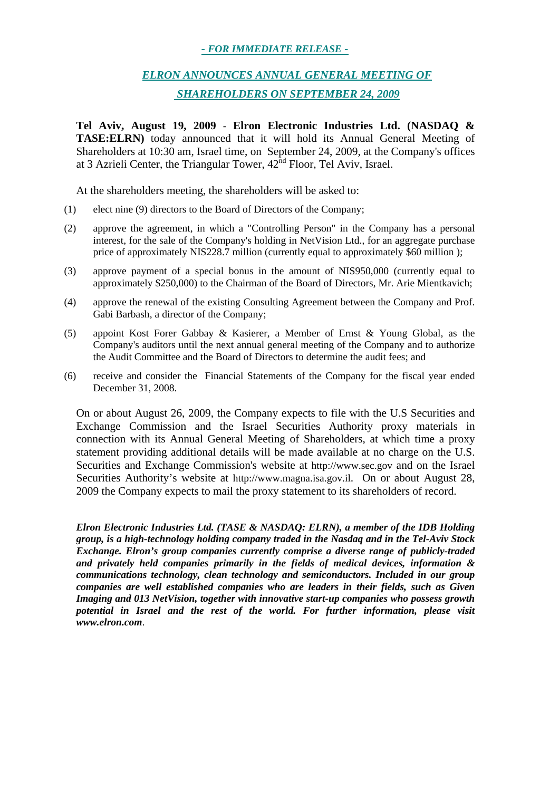## *- FOR IMMEDIATE RELEASE -*

## *ELRON ANNOUNCES ANNUAL GENERAL MEETING OF SHAREHOLDERS ON SEPTEMBER 24, 2009*

**Tel Aviv, August 19, 2009 - Elron Electronic Industries Ltd. (NASDAQ & TASE:ELRN)** today announced that it will hold its Annual General Meeting of Shareholders at 10:30 am, Israel time, on September 24, 2009, at the Company's offices at 3 Azrieli Center, the Triangular Tower,  $42<sup>nd</sup>$  Floor, Tel Aviv, Israel.

At the shareholders meeting, the shareholders will be asked to:

- (1) elect nine (9) directors to the Board of Directors of the Company;
- (2) approve the agreement, in which a "Controlling Person" in the Company has a personal interest, for the sale of the Company's holding in NetVision Ltd., for an aggregate purchase price of approximately NIS228.7 million (currently equal to approximately \$60 million );
- (3) approve payment of a special bonus in the amount of NIS950,000 (currently equal to approximately \$250,000) to the Chairman of the Board of Directors, Mr. Arie Mientkavich;
- (4) approve the renewal of the existing Consulting Agreement between the Company and Prof. Gabi Barbash, a director of the Company;
- (5) appoint Kost Forer Gabbay & Kasierer, a Member of Ernst & Young Global, as the Company's auditors until the next annual general meeting of the Company and to authorize the Audit Committee and the Board of Directors to determine the audit fees; and
- (6) receive and consider the Financial Statements of the Company for the fiscal year ended December 31, 2008.

On or about August 26, 2009, the Company expects to file with the U.S Securities and Exchange Commission and the Israel Securities Authority proxy materials in connection with its Annual General Meeting of Shareholders, at which time a proxy statement providing additional details will be made available at no charge on the U.S. Securities and Exchange Commission's website at http://www.sec.gov and on the Israel Securities Authority's website at http://www.magna.isa.gov.il. On or about August 28, 2009 the Company expects to mail the proxy statement to its shareholders of record.

*Elron Electronic Industries Ltd. (TASE & NASDAQ: ELRN), a member of the IDB Holding group, is a high-technology holding company traded in the Nasdaq and in the Tel-Aviv Stock Exchange. Elron's group companies currently comprise a diverse range of publicly-traded and privately held companies primarily in the fields of medical devices, information & communications technology, clean technology and semiconductors. Included in our group companies are well established companies who are leaders in their fields, such as Given Imaging and 013 NetVision, together with innovative start-up companies who possess growth potential in Israel and the rest of the world. For further information, please visit www.elron.com*.